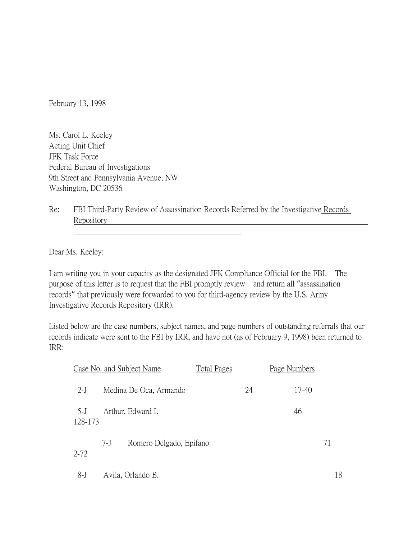February 13, 1998

Ms. Carol L. Keeley Acting Unit Chief JFK Task Force Federal Bureau of Investigations 9th Street and Pennsylvania Avenue, NW Washington, DC 20536

Re: FBI Third-Party Review of Assassination Records Referred by the Investigative Records Repository

Dear Ms. Keeley:

I am writing you in your capacity as the designated JFK Compliance Official for the FBI. The purpose of this letter is to request that the FBI promptly review and return all "assassination records" that previously were forwarded to you for third-agency review by the U.S. Army Investigative Records Repository (IRR).

Listed below are the case numbers, subject names, and page numbers of outstanding referrals that our records indicate were sent to the FBI by IRR, and have not (as of February 9, 1998) been returned to IRR:

|                  |       | Case No. and Subject Name | Total Pages |    | Page Numbers |       |    |
|------------------|-------|---------------------------|-------------|----|--------------|-------|----|
| $2-J$            |       | Medina De Oca, Armando    |             | 24 |              | 17-40 |    |
| $5-J$<br>128-173 |       | Arthur, Edward I.         |             |    |              | 46    |    |
| $2 - 72$         | $7-I$ | Romero Delgado, Epifano   |             |    |              |       | 71 |
| $8-J$            |       | Avila, Orlando B.         |             |    |              |       | 18 |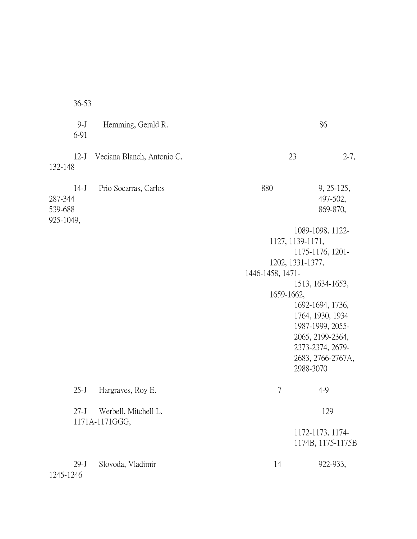36-53 9-J Hemming, Gerald R. 86 6-91 12-J Veciana Blanch, Antonio C. 23 2-7, 132-148 14-J Prio Socarras, Carlos 880 9, 25-125, 287-344 497-502, 539-688 869-870, 925-1049, 1089-1098, 1122- 1127, 1139-1171, 1175-1176, 1201- 1202, 1331-1377, 1446-1458, 1471- 1513, 1634-1653, 1659-1662, 1692-1694, 1736, 1764, 1930, 1934 1987-1999, 2055- 2065, 2199-2364, 2373-2374, 2679- 2683, 2766-2767A, 2988-3070 25-J Hargraves, Roy E. 25-J 7 4-9 27-J Werbell, Mitchell L. 129 1171A-1171GGG, 1172-1173, 1174- 1174B, 1175-1175B 29-J Slovoda, Vladimir 14 922-933, 1245-1246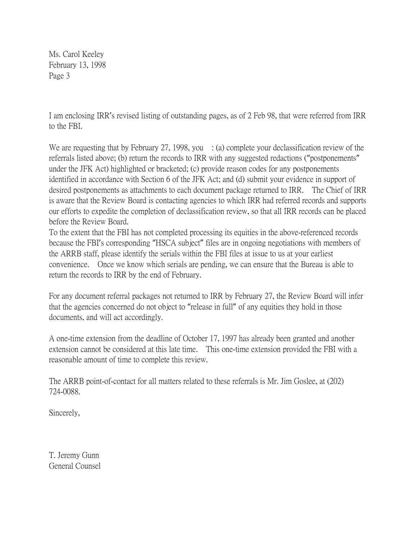Ms. Carol Keeley February 13, 1998 Page 3

I am enclosing IRR's revised listing of outstanding pages, as of 2 Feb 98, that were referred from IRR to the FBI.

We are requesting that by February 27, 1998, you  $\therefore$  (a) complete your declassification review of the referrals listed above; (b) return the records to IRR with any suggested redactions ("postponements" under the JFK Act) highlighted or bracketed; (c) provide reason codes for any postponements identified in accordance with Section 6 of the JFK Act; and (d) submit your evidence in support of desired postponements as attachments to each document package returned to IRR. The Chief of IRR is aware that the Review Board is contacting agencies to which IRR had referred records and supports our efforts to expedite the completion of declassification review, so that all IRR records can be placed before the Review Board.

To the extent that the FBI has not completed processing its equities in the above-referenced records because the FBI's corresponding "HSCA subject" files are in ongoing negotiations with members of the ARRB staff, please identify the serials within the FBI files at issue to us at your earliest convenience. Once we know which serials are pending, we can ensure that the Bureau is able to return the records to IRR by the end of February.

For any document referral packages not returned to IRR by February 27, the Review Board will infer that the agencies concerned do not object to "release in full" of any equities they hold in those documents, and will act accordingly.

A one-time extension from the deadline of October 17, 1997 has already been granted and another extension cannot be considered at this late time. This one-time extension provided the FBI with a reasonable amount of time to complete this review.

The ARRB point-of-contact for all matters related to these referrals is Mr. Jim Goslee, at (202) 724-0088.

Sincerely,

T. Jeremy Gunn General Counsel